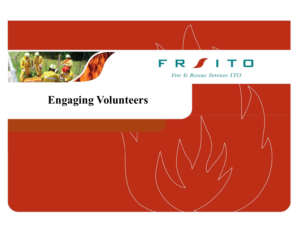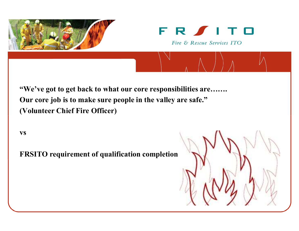



"We've got to get back to what our core responsibilities are…….Our core job is to make sure people in the valley are safe."(Volunteer Chief Fire Officer)

vs

FRSITO requirement of qualification completion

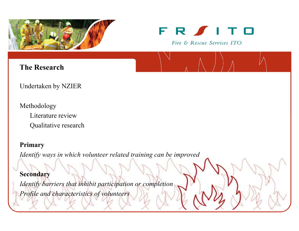



#### The Research

Undertaken by NZIER

MethodologyLiterature reviewQualitative research

#### Primary

Identify ways in which volunteer related training can be improved

Secondary

Identify barriers that inhibit participation or completionProfile and characteristics of volunteers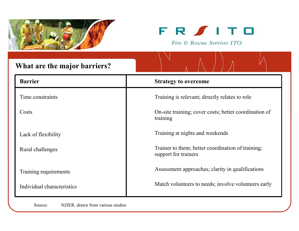



| What are the major barriers? |                                                                           |  |  |  |
|------------------------------|---------------------------------------------------------------------------|--|--|--|
| <b>Barrier</b>               | <b>Strategy to overcome</b>                                               |  |  |  |
| Time constraints             | Training is relevant; directly relates to role                            |  |  |  |
| Costs                        | On-site training; cover costs; better coordination of<br>training         |  |  |  |
| Lack of flexibility          | Training at nights and weekends                                           |  |  |  |
| Rural challenges             | Trainer to them; better coordination of training;<br>support for trainers |  |  |  |
| Training requirements        | Assessment approaches; clarity in qualifications                          |  |  |  |
| Individual characteristics   | Match volunteers to needs; involve volunteers early                       |  |  |  |

Source: NZIER, drawn from various studies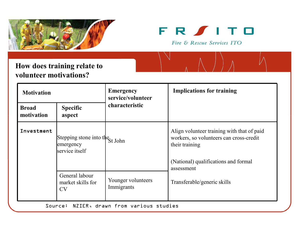



## How does training relate tovolunteer motivations?

| <b>Motivation</b>          |                                                                | <b>Emergency</b><br>service/volunteer     | <b>Implications for training</b>                                                                                                                |
|----------------------------|----------------------------------------------------------------|-------------------------------------------|-------------------------------------------------------------------------------------------------------------------------------------------------|
| <b>Broad</b><br>motivation | <b>Specific</b><br>aspect                                      | characteristic                            |                                                                                                                                                 |
| Investment                 | Stepping stone into the St John<br>emergency<br>service itself |                                           | Align volunteer training with that of paid<br>workers, so volunteers can cross-credit<br>their training<br>(National) qualifications and formal |
|                            | General labour<br>market skills for<br><b>CV</b>               | Younger volunteers<br>Immigrants          | assessment<br>Transferable/generic skills                                                                                                       |
|                            |                                                                | Source: NZIER, drawn from various studies |                                                                                                                                                 |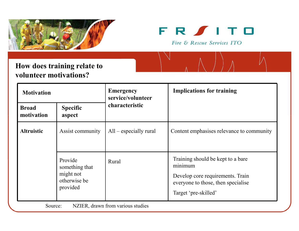



## How does training relate tovolunteer motivations?

| <b>Emergency</b><br><b>Motivation</b>        |                                                                    | service/volunteer        | <b>Implications for training</b>                                                                                                               |
|----------------------------------------------|--------------------------------------------------------------------|--------------------------|------------------------------------------------------------------------------------------------------------------------------------------------|
| <b>Broad</b><br>motivation                   | <b>Specific</b><br>aspect                                          | characteristic           |                                                                                                                                                |
| <b>Altruistic</b>                            | Assist community                                                   | $All$ – especially rural | Content emphasises relevance to community                                                                                                      |
|                                              | Provide<br>something that<br>might not<br>otherwise be<br>provided | Rural                    | Training should be kept to a bare<br>minimum<br>Develop core requirements. Train<br>everyone to those, then specialise<br>Target 'pre-skilled' |
| NZIER, drawn from various studies<br>Source: |                                                                    |                          |                                                                                                                                                |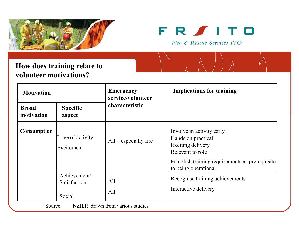



## How does training relate tovolunteer motivations?

| <b>Motivation</b>          |                                | <b>Emergency</b><br>service/volunteer    | <b>Implications for training</b>                                                                                                                                           |
|----------------------------|--------------------------------|------------------------------------------|----------------------------------------------------------------------------------------------------------------------------------------------------------------------------|
| <b>Broad</b><br>motivation | <b>Specific</b><br>aspect      | characteristic                           |                                                                                                                                                                            |
| <b>Consumption</b>         | Love of activity<br>Excitement | $All$ – especially fire                  | Involve in activity early<br>Hands on practical<br><b>Exciting delivery</b><br>Relevant to role<br>Establish training requirements as prerequisite<br>to being operational |
|                            | Achievement/<br>Satisfaction   | All                                      | Recognise training achievements<br>Interactive delivery                                                                                                                    |
| Source:                    | Social                         | All<br>NZIER, drawn from various studies |                                                                                                                                                                            |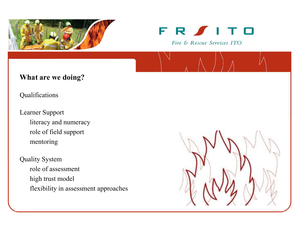



#### What are we doing?

Qualifications

Learner Supportliteracy and numeracyrole of field supportmentoring

# Quality System role of assessmenthigh trust modelflexibility in assessment approaches